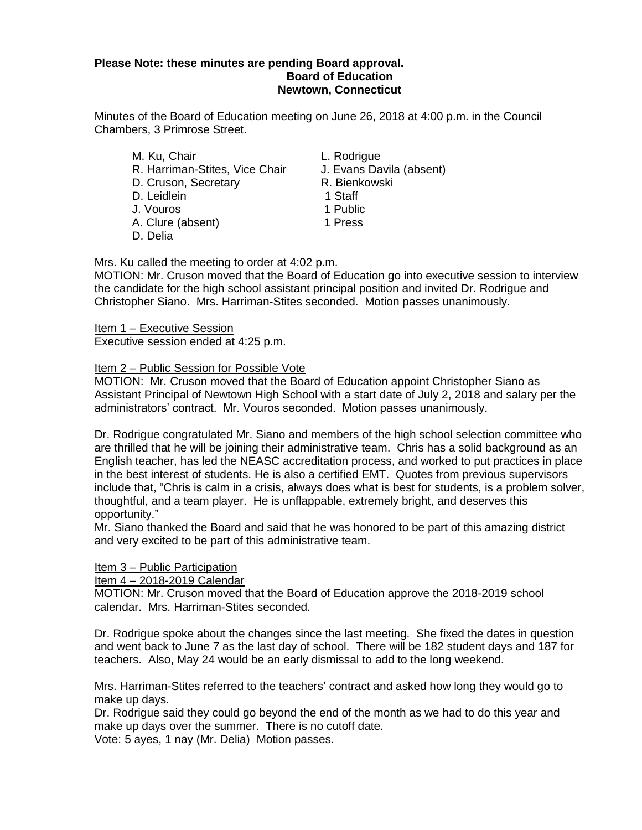## **Please Note: these minutes are pending Board approval. Board of Education Newtown, Connecticut**

Minutes of the Board of Education meeting on June 26, 2018 at 4:00 p.m. in the Council Chambers, 3 Primrose Street.

- M. Ku, Chair **L. Rodrigue** R. Harriman-Stites, Vice Chair J. Evans Davila (absent) D. Cruson, Secretary **R. Bienkowski** D. Leidlein 1 Staff J. Vouros 1 Public A. Clure (absent) 1 Press
- D. Delia
- 
- 
- 
- 
- 
- 

Mrs. Ku called the meeting to order at 4:02 p.m.

MOTION: Mr. Cruson moved that the Board of Education go into executive session to interview the candidate for the high school assistant principal position and invited Dr. Rodrigue and Christopher Siano. Mrs. Harriman-Stites seconded. Motion passes unanimously.

Item 1 – Executive Session Executive session ended at 4:25 p.m.

## Item 2 – Public Session for Possible Vote

MOTION: Mr. Cruson moved that the Board of Education appoint Christopher Siano as Assistant Principal of Newtown High School with a start date of July 2, 2018 and salary per the administrators' contract. Mr. Vouros seconded. Motion passes unanimously.

Dr. Rodrigue congratulated Mr. Siano and members of the high school selection committee who are thrilled that he will be joining their administrative team. Chris has a solid background as an English teacher, has led the NEASC accreditation process, and worked to put practices in place in the best interest of students. He is also a certified EMT. Quotes from previous supervisors include that, "Chris is calm in a crisis, always does what is best for students, is a problem solver, thoughtful, and a team player. He is unflappable, extremely bright, and deserves this opportunity."

Mr. Siano thanked the Board and said that he was honored to be part of this amazing district and very excited to be part of this administrative team.

## Item 3 – Public Participation

Item 4 – 2018-2019 Calendar

MOTION: Mr. Cruson moved that the Board of Education approve the 2018-2019 school calendar. Mrs. Harriman-Stites seconded.

Dr. Rodrigue spoke about the changes since the last meeting. She fixed the dates in question and went back to June 7 as the last day of school. There will be 182 student days and 187 for teachers. Also, May 24 would be an early dismissal to add to the long weekend.

Mrs. Harriman-Stites referred to the teachers' contract and asked how long they would go to make up days.

Dr. Rodrigue said they could go beyond the end of the month as we had to do this year and make up days over the summer. There is no cutoff date.

Vote: 5 ayes, 1 nay (Mr. Delia) Motion passes.